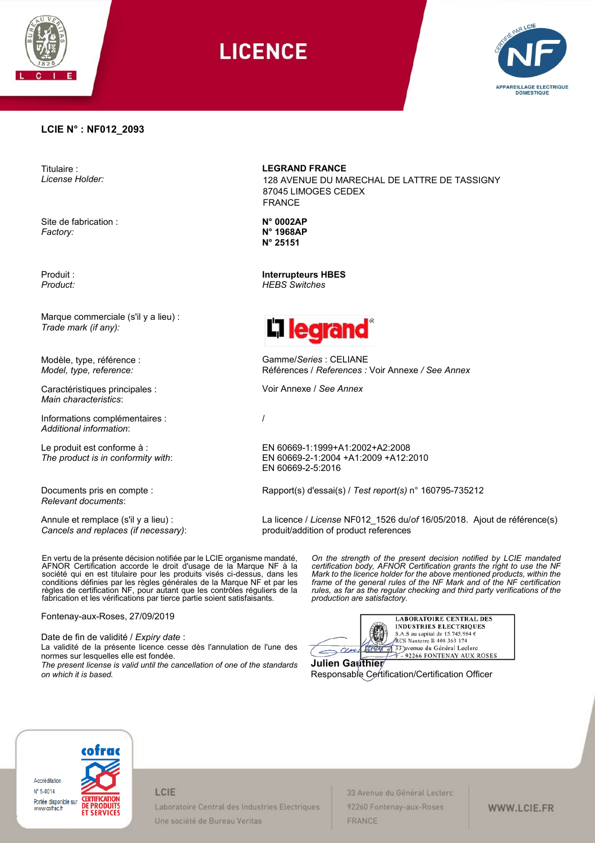

# **LICENCE**



## **LCIE N° : NF012\_2093**

Titulaire : *License Holder:*

Site de fabrication : *Factory:*

Produit : *Product:*

Marque commerciale (s'il y a lieu) : *Trade mark (if any):*

Modèle, type, référence : *Model, type, reference:*

Caractéristiques principales : *Main characteristics*:

Informations complémentaires : *Additional information*:

Le produit est conforme à : *The product is in conformity with*:

Documents pris en compte : *Relevant documents*:

Annule et remplace (s'il y a lieu) : *Cancels and replaces (if necessary)*: **LEGRAND FRANCE**

128 AVENUE DU MARECHAL DE LATTRE DE TASSIGNY 87045 LIMOGES CEDEX FRANCE

**N° 0002AP N° 1968AP N° 25151**

**Interrupteurs HBES** *HEBS Switches*



Gamme/*Series* : CELIANE Références / *References :* Voir Annexe */ See Annex*

Voir Annexe / *See Annex*

/

EN 60669-1:1999+A1:2002+A2:2008 EN 60669-2-1:2004 +A1:2009 +A12:2010 EN 60669-2-5:2016

Rapport(s) d'essai(s) / *Test report(s)* n° 160795-735212

La licence / *License* NF012\_1526 du/*of* 16/05/2018. Ajout de référence(s) produit/addition of product references

En vertu de la présente décision notifiée par le LCIE organisme mandaté, AFNOR Certification accorde le droit d'usage de la Marque NF à la société qui en est titulaire pour les produits visés ci-dessus, dans les conditions définies par les règles générales de la Marque NF et par les règles de certification NF, pour autant que les contrôles réguliers de la fabrication et les vérifications par tierce partie soient satisfaisants.

Fontenay-aux-Roses, 27/09/2019

Date de fin de validité / *Expiry date* :

La validité de la présente licence cesse dès l'annulation de l'une des normes sur lesquelles elle est fondée.

*The present license is valid until the cancellation of one of the standards on which it is based.*

*On the strength of the present decision notified by LCIE mandated certification body, AFNOR Certification grants the right to use the NF Mark to the licence holder for the above mentioned products, within the frame of the general rules of the NF Mark and of the NF certification rules, as far as the regular checking and third party verifications of the production are satisfactory.* 

**LABORATOIRE CENTRAL DES** INDUSTRIES ELECTRIQUES S.A.S au capital de 15.745.984 € **RCS** Nanterre B 408 363 174 33 avenue du Général Leclerc  $\sim$   $\alpha$ 92266 FONTENAY AUX ROSES

**Julien Gauthier**  Responsable Certification/Certification Officer



## LCIE

Laboratoire Central des Industries Electriques Une société de Bureau Veritas

33 Avenue du Général Leclerc 92260 Fontenay-aux-Roses FRANCE

WWW.LCIE.FR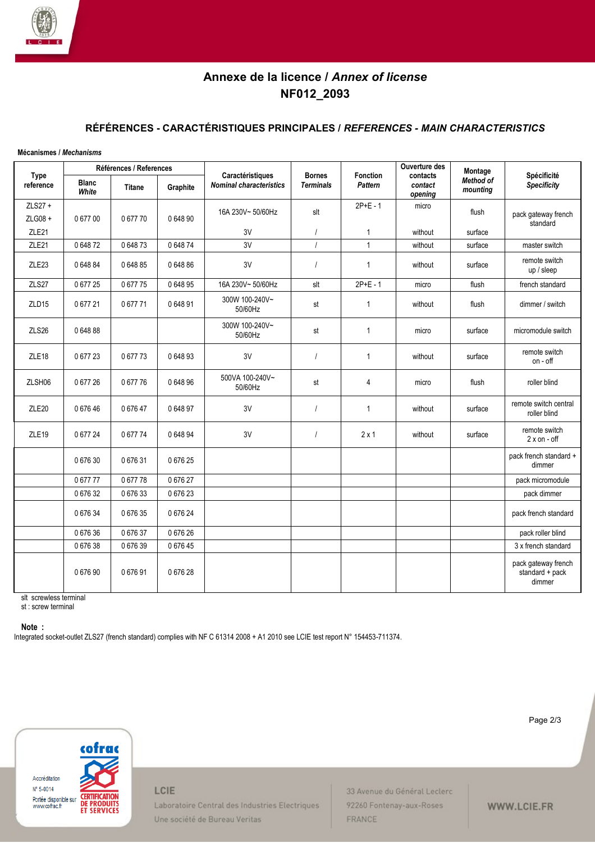

## **Annexe de la licence /** *Annex of license* **NF012\_2093**

## **RÉFÉRENCES - CARACTÉRISTIQUES PRINCIPALES /** *REFERENCES - MAIN CHARACTERISTICS*

#### **Mécanismes /** *Mechanisms*

| <b>Type</b><br>reference | Références / References |               |          |                                                    |                                   |                            | Ouverture des                  | Montage               |                                                  |
|--------------------------|-------------------------|---------------|----------|----------------------------------------------------|-----------------------------------|----------------------------|--------------------------------|-----------------------|--------------------------------------------------|
|                          | <b>Blanc</b><br>White   | <b>Titane</b> | Graphite | Caractéristiques<br><b>Nominal characteristics</b> | <b>Bornes</b><br><b>Terminals</b> | <b>Fonction</b><br>Pattern | contacts<br>contact<br>opening | Method of<br>mounting | Spécificité<br><b>Specificity</b>                |
| ZLS27 +<br>ZLG08 +       | 067700                  | 0 677 70      | 0 648 90 | 16A 230V~50/60Hz                                   | slt                               | $2P+E - 1$                 | micro                          | flush                 | pack gateway french                              |
| ZLE <sub>21</sub>        |                         |               |          | 3V                                                 | $\prime$                          | $\mathbf{1}$               | without                        | surface               | standard                                         |
| ZLE <sub>21</sub>        | 064872                  | 0 648 73      | 064874   | 3V                                                 | $\prime$                          | $\mathbf{1}$               | without                        | surface               | master switch                                    |
| ZLE <sub>23</sub>        | 0 648 84                | 0 648 85      | 0 648 86 | 3V                                                 | $\overline{I}$                    | $\mathbf{1}$               | without                        | surface               | remote switch<br>up / sleep                      |
| ZLS27                    | 0 677 25                | 0 677 75      | 0 648 95 | 16A 230V~50/60Hz                                   | slt                               | $2P+E - 1$                 | micro                          | flush                 | french standard                                  |
| ZLD15                    | 067721                  | 0 677 71      | 064891   | 300W 100-240V~<br>50/60Hz                          | st                                | $\mathbf{1}$               | without                        | flush                 | dimmer / switch                                  |
| ZLS26                    | 064888                  |               |          | 300W 100-240V~<br>50/60Hz                          | st                                | $\mathbf{1}$               | micro                          | surface               | micromodule switch                               |
| ZLE <sub>18</sub>        | 067723                  | 067773        | 064893   | 3V                                                 | $\overline{I}$                    | $\mathbf{1}$               | without                        | surface               | remote switch<br>on - off                        |
| ZLSH06                   | 067726                  | 067776        | 064896   | 500VA 100-240V~<br>50/60Hz                         | st                                | $\overline{4}$             | micro                          | flush                 | roller blind                                     |
| ZLE <sub>20</sub>        | 067646                  | 067647        | 064897   | 3V                                                 |                                   | $\mathbf{1}$               | without                        | surface               | remote switch central<br>roller blind            |
| ZLE <sub>19</sub>        | 067724                  | 0 677 74      | 064894   | 3V                                                 |                                   | $2 \times 1$               | without                        | surface               | remote switch<br>$2 x$ on - off                  |
|                          | 067630                  | 0 676 31      | 067625   |                                                    |                                   |                            |                                |                       | pack french standard +<br>dimmer                 |
|                          | 067777                  | 067778        | 067627   |                                                    |                                   |                            |                                |                       | pack micromodule                                 |
|                          | 067632                  | 067633        | 0 676 23 |                                                    |                                   |                            |                                |                       | pack dimmer                                      |
|                          | 067634                  | 067635        | 067624   |                                                    |                                   |                            |                                |                       | pack french standard                             |
|                          | 067636                  | 067637        | 067626   |                                                    |                                   |                            |                                |                       | pack roller blind                                |
|                          | 067638                  | 067639        | 067645   |                                                    |                                   |                            |                                |                       | 3 x french standard                              |
|                          | 067690                  | 067691        | 067628   |                                                    |                                   |                            |                                |                       | pack gateway french<br>standard + pack<br>dimmer |

slt screwless terminal st : screw terminal

**Note :** 

Integrated socket-outlet ZLS27 (french standard) complies with NF C 61314 2008 + A1 2010 see LCIE test report N° 154453-711374.



LCIE

Laboratoire Central des Industries Electriques Une société de Bureau Veritas

33 Avenue du Général Leclerc 92260 Fontenay-aux-Roses FRANCE

Page 2/3

WWW.LCIE.FR